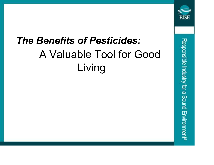# The Benefits of Pesticides: A Valuable Tool for Good Living

**RISE** 

Responsible Industry for a Sound Environment®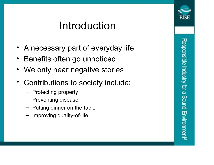#### Introduction

- A necessary part of everyday life
- Benefits often go unnoticed
- We only hear negative stories
- Contributions to society include:
	- Protecting property
	- Preventing disease
	- Putting dinner on the table
	- Improving quality-of-life

RISF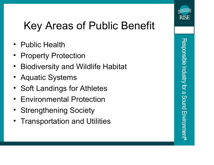# RISF

# Key Areas of Public Benefit

- Public Health
- **Property Protection**
- Biodiversity and Wildlife Habitat
- Aquatic Systems
- Soft Landings for Athletes
- Environmental Protection
- Strengthening Society
- **Transportation and Utilities**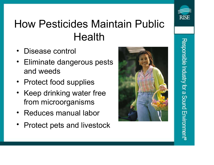# How Pesticides Maintain Public Health

- Disease control
- Eliminate dangerous pests and weeds
- Protect food supplies
- Keep drinking water free from microorganisms
- Reduces manual labor
- Protect pets and livestock



RISF

Responsible Industry for a Sound Environmer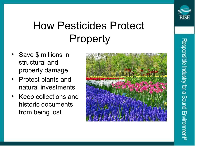#### How Pesticides Protect Property

- Save \$ millions in structural and property damage
- Protect plants and natural investments
- Keep collections and historic documents from being lost

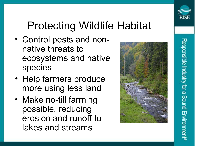

# Protecting Wildlife Habitat

- Control pests and nonnative threats to ecosystems and native species
- Help farmers produce more using less land
- Make no-till farming possible, reducing erosion and runoff to lakes and streams

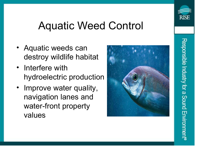

#### Aquatic Weed Control

- Aquatic weeds can destroy wildlife habitat
- Interfere with hydroelectric production
- Improve water quality, navigation lanes and water-front property values



Responsible Industry for a Sound Environmen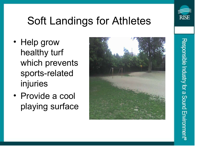

Responsible Industry for a Sound Environmen

# Soft Landings for Athletes

- Help grow healthy turf which prevents sports-related injuries
- Provide a cool playing surface

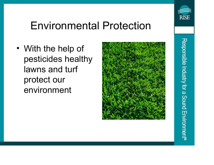

Responsible Industry for a Sound Environmen

#### Environmental Protection

• With the help of pesticides healthy lawns and turf protect our environment

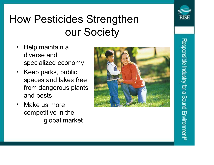### How Pesticides Strengthen our Society

- Help maintain a diverse and specialized economy
- Keep parks, public spaces and lakes free from dangerous plants and pests
- Make us more competitive in the global market



**RISE** 

Responsible Industry for a Sound Environmen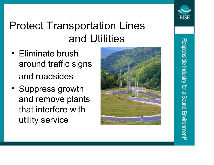

# Protect Transportation Lines and Utilities

- Eliminate brush around traffic signs and roadsides
- Suppress growth and remove plants that interfere with utility service

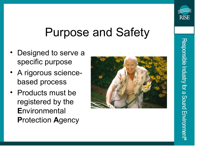#### Purpose and Safety

- Designed to serve a specific purpose
- A rigorous sciencebased process
- Products must be registered by the **Environmental** Protection Agency



RISE

Responsible Industry for a Sound Environmen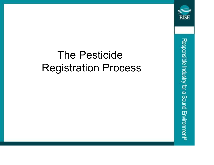#### The Pesticide Registration Process

Responsible Industry for a Sound Environment®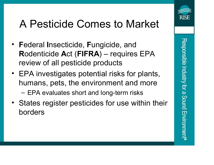

#### A Pesticide Comes to Market

- Federal Insecticide, Fungicide, and Rodenticide Act (FIFRA) – requires EPA review of all pesticide products
- EPA investigates potential risks for plants, humans, pets, the environment and more
	- EPA evaluates short and long-term risks
- States register pesticides for use within their borders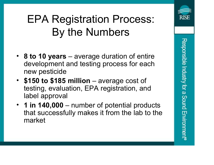# EPA Registration Process: By the Numbers

- 8 to 10 years average duration of entire development and testing process for each new pesticide
- \$150 to \$185 million average cost of testing, evaluation, EPA registration, and label approval
- 1 in 140,000 number of potential products that successfully makes it from the lab to the market

RISF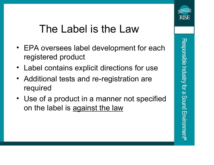# Responsible Industry for a Sound Environmen

#### The Label is the Law

- EPA oversees label development for each registered product
- Label contains explicit directions for use
- Additional tests and re-registration are required
- Use of a product in a manner not specified on the label is against the law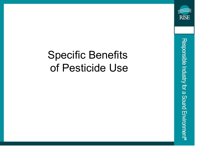#### Specific Benefits of Pesticide Use

Responsible Industry for a Sound Environment®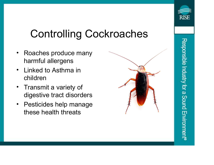# Controlling Cockroaches

- Roaches produce many harmful allergens
- Linked to Asthma in children
- Transmit a variety of digestive tract disorders
- Pesticides help manage these health threats

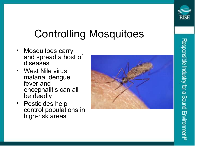#### Controlling Mosquitoes

- Mosquitoes carry and spread a host of diseases
- West Nile virus, malaria, dengue fever and encephalitis can all be deadly
- Pesticides help control populations in high-risk areas

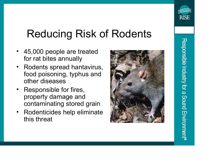

# Reducing Risk of Rodents

- 45,000 people are treated for rat bites annually
- Rodents spread hantavirus, food poisoning, typhus and other diseases
- Responsible for fires, property damage and contaminating stored grain
- Rodenticides help eliminate this threat

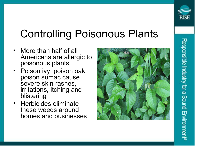

# Controlling Poisonous Plants

- More than half of all Americans are allergic to poisonous plants
- Poison ivy, poison oak, poison sumac cause severe skin rashes, irritations, itching and blistering
- Herbicides eliminate these weeds around homes and businesses

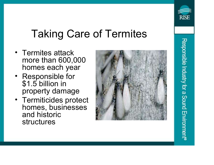

- Termites attack more than 600,000 homes each year
- Responsible for \$1.5 billion in property damage
- Termiticides protect homes, businesses and historic structures



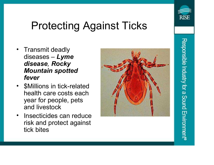

Responsible Industry for a Sound Environmen

# Protecting Against Ticks

- Transmit deadly diseases –  $L$ *yme* disease, Rocky Mountain spotted fever
- \$Millions in tick-related health care costs each year for people, pets and livestock
- Insecticides can reduce risk and protect against tick bites

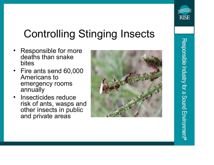

Responsible Industry for a Sound Environmer

# Controlling Stinging Insects

- Responsible for more deaths than snake bites
- Fire ants send 60,000 Americans to emergency rooms annually
- Insecticides reduce risk of ants, wasps and other insects in public and private areas

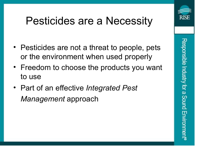#### Pesticides are a Necessity

- Pesticides are not a threat to people, pets or the environment when used properly
- Freedom to choose the products you want to use
- Part of an effective Integrated Pest Management approach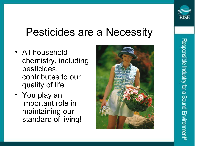#### Pesticides are a Necessity

- All household chemistry, including pesticides, contributes to our quality of life
- You play an important role in maintaining our standard of living!